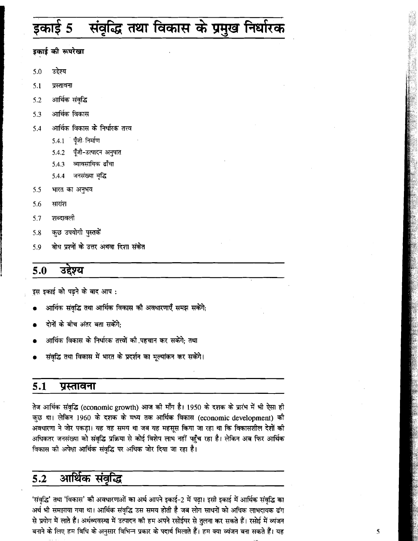## संवृद्धि तथा विकास के प्रमुख निर्धारक 5

इकाई की रूपरेखा

- उद्देश्य  $5.0$
- 5.1 प्रस्तावना
- आर्थिक संवृद्धि  $5.2$
- आर्थिक विकास 5.3
- आर्थिक विकास के निर्धारक तत्त्व  $5.4$ 
	- पँजी निर्माण 5.4.1
	- पुँजी-उत्पादन अनुपात 5.4.2
	- व्यावसायिक ढाँचा 5.4.3
	- जनसंख्या वृद्धि 5.4.4
- 5.5 भारत का अनृभव
- सारांश 5.6
- शब्दावली 5.7
- कुछ उपयोगी पुस्तकें 5.8
- बोध प्रश्नों के उत्तर अथवा दिशा संकेत 5.9

#### $5.0$ उद्देश्य

इस इकाई को पढ़ने के बाद आप:

- आर्थिक संवद्धि तथा आर्थिक विकास की अवधारणाएँ समझ सकेंगे;
- दोनों के बीच अंतर बता सकेंगे:
- आर्थिक विकास के निर्धारक तत्त्वों की पहचान कर सकेंगे; तथा
- संवृद्धि तथा विकास में भारत के प्रदर्शन का मूल्यांकन कर सकेंगे।

#### $5.1$ प्रस्तावना

तेज आर्थिक संवृद्धि (economic growth) आज की माँग है। 1950 के दशक के प्रारंभ में भी ऐसा ही कुछ था। लेकिन 1960 के दशक के मध्य तक आर्थिक विकास (economic development) की अवधारणा ने जोर पकड़ा। यह वह समय था जब यह महसूस किया जा रहा था कि विकासशील देशों की अधिकतर जनसंख्या को संवृद्धि प्रक्रिया से कोई विशेष लाभ नहीं पहुँच रहा है। लेकिन अब फिर आर्थिक विकास को अपेक्षा आर्थिक संवृद्धि पर अधिक जोर दिया जा रहा है।

#### $5.2$ आर्थिक संवृद्धि

'संवद्धि' तथा 'विकास' की अवधारणाओं का अर्थ आपने इकाई-2 में पढ़ा। इसी इकाई में आर्थिक संवृद्धि का अर्थ भी समझाया गया था। आर्थिक संवृद्धि उस समय होती है जब लोग साधनों को अधिक लाभदायक ढंग से प्रयोग में लाते हैं। अर्थव्यवस्था में उत्पादन की हम अपने रसोईघर से तुलना कर सकते हैं। रसोई में व्यंजन बनाने के लिए हम विधि के अनुसार विभिन्न प्रकार के पदार्थ मिलाते हैं। हम क्या व्यंजन बना सकते हैं। यह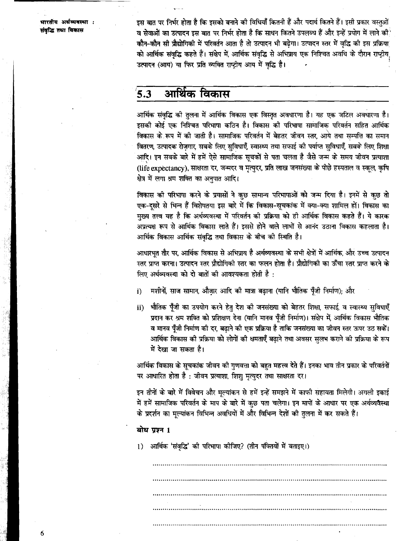भारतीय अर्थव्यवस्था : संवद्धि तथा विकास

इस बात पर निर्भर होता है कि इसको बनाने की विधियाँ कितनी हैं और पदार्थ कितने हैं। इसी प्रकार वस्तुओं व सेवाओं का उत्पादन इस बात पर निर्भर होता है कि साधन कितने उपलब्ध हैं और इन्हें प्रयोग में लाने की कौन-कौन सी प्रौद्योगिकी में परिवर्तन आता है तो उत्पादन भी बढेगा। उत्पादन स्तर में वृद्धि की इस प्रक्रिया को आर्थिक संवृद्धि कहते हैं। संक्षेप में, आर्थिक संवृद्धि से अभिप्राय एक निश्चित अवधि के दौरान राष्ट्रीय उत्पादन (आय) या फिर प्रति व्यक्ति राष्ट्रीय आय में वृद्धि है।

#### आर्थिक विकास  $5.3$

आर्थिक संवृद्धि की तुलना में आर्थिक विकास एक विस्तृत अवधारणा है। यह एक जटिल अवधारणा है। इसकी कोई एक निश्चित परिभाषा कठिन है। विकास की परिभाषा सामाजिक परिवर्तन सहित आर्थिक विकास के रूप में की जाती है। सामाजिक परिवर्तन में बेहतर जीवन स्तर, आये तथा सम्पत्ति का समान वितरण, उत्पादक रोज़गार, सबके लिए सुविधाएँ, स्वास्थ्य तथा सफाई की पर्याप्त सुविधाएँ, सबके लिए शिक्षा आदि। इन सबके बारे में हमें ऐसे सामाजिक सूचकों से पता चलता है जैसे जन्म के समय जीवन प्रत्याशा (life expectancy), साक्षरता दर, जन्मदर व मृत्युदर, प्रति लाख जनसंख्या के पीछे हस्पताल व स्कूल, कृषि क्षेत्र में लगा श्रम शक्ति का अनुपात आदि।

विकास की परिभाषा करने के प्रयासों ने कुछ सामान्य परिभाषाओं को जन्म दिया है। इनमें से कुछ तो एक-दूसरे से भिन्न हैं विशेषतया इस बारे में कि विकास-सूचकांक में क्या-क्या शामिल हों। विकास का मुख्य तत्त्व यह है कि अर्थव्यवस्था में परिवर्तन को प्रक्रिया को ही आर्थिक विकास कहते हैं। ये कारक अप्रत्यक्ष रूप से आर्थिक विकास लाते हैं। इससे होने वाले लाभों से आनंद उठाना विकास कहलाता है। आर्थिक विकास आर्थिक संवृद्धि तथा विकास के बीच की स्थिति है।

आधारभुत तौर पर, आर्थिक विकास से अभिप्राय है अर्थव्यवस्था के सभी क्षेत्रों में आर्थिक, और उच्च उत्पादन स्तर प्राप्त करना। उत्पादन स्तर प्रौद्योगिको स्तर का फलन होता है। प्रौद्योगिको का ऊँचा स्तर प्राप्त करने के लिए अर्थव्यवस्था को दो बातों की आवश्यकता होती है :

- मशीनों, साज सामान, औज़ार आदि की मात्रा बढ़ाना (यानि भौतिक पूँजी निर्माण); और  $i)$
- भौतिक पूँजी का उपयोग करने हेतु देश की जनसंख्या को बेहतर शिक्षा, सफाई, व स्वास्थ्य सुविधाएँ ii) प्रदान कर श्रम शक्ति को प्रशिक्षण देना (यानि मानव पूँजी निर्माण)। संक्षेप में, आर्थिक विकास भौतिक व मानव पुँजी निर्माण की दर, बढ़ाने की एक प्रक्रिया है ताकि जनसंख्या का जीवन स्तर ऊपर उठ सकें। आर्थिक विकास की प्रक्रिया को लोगों की क्षमताएँ बढाने तथा अवसर सलभ कराने की प्रक्रिया के रूप में देखा जा सकता है।

आर्थिक विकास के सूचकांक जीवन की गुणवत्ता को बहुत महत्त्व देते हैं। इनका भाव तीन प्रकार के परिवर्तनों पर आधारित होता है : जीवन प्रत्याशा, शिशु मृत्युदर तथा साक्षरता दर।

इन तीनों के बारे में विवेचन और मुल्यांकन से हमें इन्हें समझने में काफी सहायता मिलेगी। अगली इकाई में हमें सामाजिक परिवर्तन के माप के बारे में कुछ पता चलेगा। इन मापों के आधार पर एक अर्थव्यवस्था के प्रदर्शन का मूल्यांकन विभिन्न अवधियों में और विभिन्न देशों की तुलना में कर सकते हैं।

### बोध प्रश्न 1

आर्थिक 'संवृद्धि' की परिभाषा कीजिए? (तीन पंक्तियों में बताइए।)  $1)$ 

6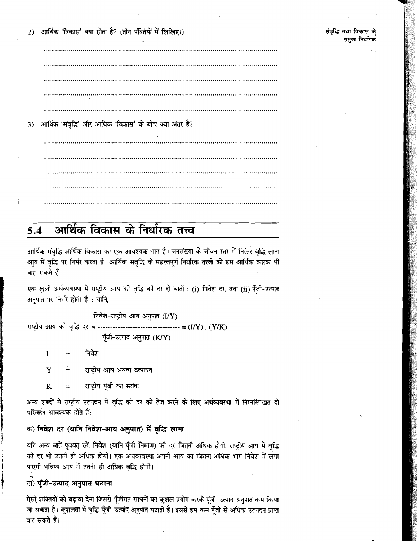्आर्थिक 'विकास' क्या होता है? (तीन पंक्तियों में लिखिए।)  $2)$ 

आर्थिक 'संवद्धि' और आर्थिक 'विकास' के बीच क्या अंतर है? 3)

#### आर्थिक विकास के निर्धारक तत्त्व  $5.4$

आर्थिक संवद्धि आर्थिक विकास का एक आवश्यक भाग है। जनसंख्या के जीवन स्तर में निरंतर वद्धि लाना आय में वृद्धि पर निर्भर करता है। आर्थिक संवृद्धि के महत्त्वपूर्ण निर्धारक तत्त्वों को हम आर्थिक कारक भी कह सकते हैं।

एक खुली अर्थव्यवस्था में राष्ट्रीय आय की वृद्धि की दर दो बातों : (i) निवेश दर, तथा (ii) पूँजी-उत्पाद अनपात पर निर्भर होती है : यानि.

निवेश-राष्ट्रीय आय अनुपात (I/Y) राष्ट्रीय आय की वृद्धि दर = --------------------------------- = (I/Y) . (Y/K) पूँजी-उत्पाद अनुपात (K/Y)

 $\mathbf{I}$ निवेश

Y राष्ट्रीय आय अथवा उत्पादन

राष्ट्रीय पूँजी का स्टॉक K

अन्य शब्दों में राष्ट्रीय उत्पादन में वृद्धि की दर को तेज करने के लिए अर्थव्यवस्था में निम्नलिखित दो परिवर्तन आवश्यक होते हैं:

क) निवेश दर (यानि निवेश-आय अनुपात) में वृद्धि लाना

यदि अन्य बातें पूर्ववत् रहें, निवेश (यानि पूँजी निर्माण) की दर जितनी अधिक होगी, राष्ट्रीय आय में वृद्धि की दर भी उतनी ही अधिक होगी। एक अर्थव्यवस्था अपनी आय का जितना अधिक भाग निवेश में लगा पाएगी भविष्य आय में उतनी ही अधिक वृद्धि होगी।

खें) पूँजी-उत्पाद अनुपात घटाना

ऐसी शक्तियों को बढ़ावा देना जिससे पूँजीगत साधनों का कुशल प्रयोग करके पूँजी-उत्पाद अनुपात कम किया जा सकता है। कुशलता में वृद्धि पूँजी-उत्पाद अनुपात घटाती है। इससे हम कम पूँजी से अधिक उत्पादन प्राप्त कर सकते हैं।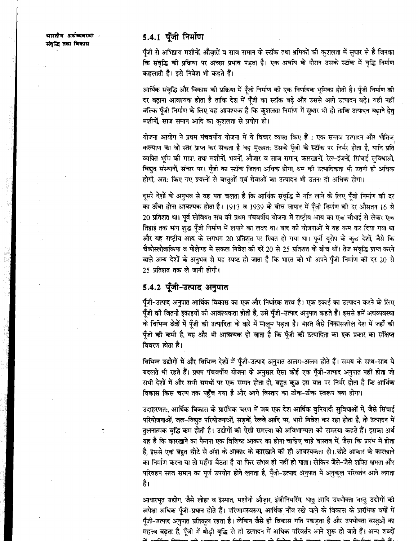भारतीय अर्थव्यवस्था : संवृद्धि तथा विकास

# 5.4.1 पूँजी निर्माण

पूँजी से अभिप्राय मशीनों, औजारों व साज समान के स्टॉक तथा श्रमिकों की कुशलता में सुधार से है जिनका कि संवृद्धि की प्रक्रिया पर अच्छा प्रभाव पड़ता है। एक अवधि के दौरान उसके स्टॉक में वृद्धि निर्माण कहलाती है। इसे निवेश भी कहते हैं।

आर्थिक संवृद्धि और विकास की प्रक्रिया में पूँजी निर्माण की एक निर्णायक भूमिका होती है। पूँजी निर्माण की दर बढ़ाना आवश्यक होता है ताकि देश में पूँजी का स्टॉक बढ़े और उससे आगे उत्पादन बढ़े। यही नहीं बल्कि पूँजी निर्माण के लिए यह आवश्यक है कि कुशलता निर्माण में सुधार भी हो ताकि उत्पादन बढ़ाने हेतु मशीनों, साज समान आदि का कशलता से प्रयोग हो।

योजना आयोग ने प्रथम पंचवर्षीय योजना में ये विचार व्यक्त किए हैं : एक समाज उत्पादन और भौतिक कल्याण का जो स्तर प्राप्त कर सकता है वह मुख्यत: उसके पूँजी के स्टॉक पर निर्भर होता है, यानि प्रति व्यक्ति भूमि की मात्रा, तथा मशीनों, भवनों, औजार व साज समान, कारखानों, रेल-इंजनों, सिंचाई सुविधाओं, विद्युत संस्थानों, संचार पर। पूँजी का स्टॉक जितना अधिक होगा, श्रम की उत्पादिकता भी उतनी ही अधिक होगी, अत: किए गए प्रयत्नों से वस्तुओं एवं सेवाओं का उत्पादन भी उतना ही अधिक होगा।

दूसरे देशों के अनुभव से यह पता चलता है कि आर्थिक संवृद्धि में गति लाने के लिए पूँजी निर्माण की दर का ऊँचा होना आवश्यक होता है। 1913 व 1939 के बीच जापान में पूँजी निर्माण की दर औसतन 16 से 20 प्रतिशत था। पूर्व सोवियत संघ की प्रथम पंचवर्षीय योजना में राष्ट्रीय आय का एक चौथाई से लेकर एक तिहाई तक भाग शुद्ध पूँजी निर्माण में लगाने का लक्ष्य था। बाद की योजनाओं में यह कम कर दिया गया था और यह राष्ट्रीय आय के लगभग 20 प्रतिशत पर स्थित हो गया था। पूर्वी यूरोप के कुछ देशों, जैसे कि चैकोस्लोवाकिया व पोलेण्ड में सकल निवेश की दरें 20 से 25 प्रतिशत के बीच थीं। तेज संवृद्धि प्राप्त करने वाले अन्य देशों के अनुभव से यह स्पष्ट हो जाता है कि भारत को भी अपने पूँजी निर्माण की दर 20 से 25 प्रतिशत तक ले जानी होगी।

# 5.4.2 पूँजी-उत्पाद अनुपात

पूँजी-उत्पाद अनुपात आर्थिक विकास का एक और निर्धारक तत्त्व है। एक इकाई का उत्पादन करने के लिए पूँजी की जितनी इकाइयों की आवश्यकता होती है, उसे पूँजी-उत्पाद अनुपात कहते हैं। इससे हमें अर्थव्यवस्था के विभिन्न क्षेत्रों में पूँजी की उत्पादिता के बारे में मालूम पड़ता है। भारत जैसे विकासशील देश में जहाँ की पुँजी की कमी है, यह और भी आवश्यक हो जाता है कि पुँजी की उत्पादिता का एक प्रकार का संक्षिप्त विवरण होता है।

विभिन्न उद्योगों में और विभिन्न देशों में पूँजी-उत्पाद अनुपात अलग-अलग होते हैं। समय के साथ-साथ ये बदलते भी रहते हैं। प्रथम पंचवर्षीय योजना के अनुसार ऐसा कोई एक पूँजी-उत्पाद अनुपात नहीं होता जो सभी देशों में और सभी समयों पर एक समान होता हो, बहुत कुछ इस बात पर निर्भर होता है कि आर्थिक विकास किस चरण तक पहुँच गया है और आगे विस्तार का ठीक-ठीक स्वरूप क्या होगा।

उदाहरणत:, आर्थिक विकास के प्रारंभिक चरण में जब एक देश आर्थिक बनियादी सुविधाओं में, जैसे सिंचाई परियोजनाओं, जल-विद्युत परियोजनाओं, सड़कें, रेलवे आदि पर, भारी निवेश कर रहा होता है, तो उत्पादन में तुलनात्मक वृद्धि कम होती है। उद्योगों की ऐसी समस्या को अविभाज्यता की समस्या कहते हैं। इसका अर्थ यह है कि कारखाने का पैमाना एक विशिष्ट आकार का होना चाहिए चाहे वास्तव में, जैसा कि प्रारंभ में होता है, इससे एक बहुत छोटे से अंश के आकार के कारखाने की ही आवश्यकता हो। छोटे आकार के कारखाने का निर्माण करना या तो महँगा बैठता है या फिर संभव ही नहीं हो पाता। लेकिन जैसे-जैसे शक्ति क्षमता और परिवहन साज समान का पूर्ण उपयोग होने लगता है, पूँजी-उत्पाद अनुपात में अनुकूल परिवर्तन आने लगता है।

आधारभूत उद्योग, जैसे लोहा व इस्पात, मशीनी औज़ार, इंजीनियरिंग, धातु आदि उपभोक्ता वस्तु उद्योगों की अपेक्षा अधिक पुँजी-प्रधान होते हैं। परिणामस्वरूप, आर्थिक नींव रखे जाने के विकास के प्रारंभिक वर्षों में पूँजी-उत्पाद अनुपात प्रतिकूल रहता है। लेकिन जैसे ही विकास गति पकड़ता है और उपभोक्ता वस्तुओं का महत्त्व बढ़ता है, पूँजी में थोड़ी वृद्धि से ही उत्पादन में अधिक परिवर्तन आने शुरू हो जाते हैं। अन्य शब्दों  $\rightarrow$  6.6.  $\rightarrow$  7.  $\rightarrow$  6.  $\rightarrow$  7.  $\rightarrow$  7.  $\rightarrow$  7.  $\rightarrow$  7.  $\rightarrow$  7.  $\rightarrow$  8.  $\rightarrow$  8.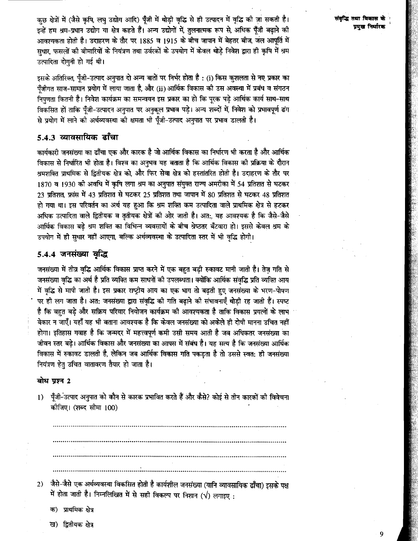संवरित तथा विकास पमख निर्धारक

कछ क्षेत्रों में (जैसे कृषि, लघु उद्योग आदि) पूँजी में थोड़ी वृद्धि से ही उत्पादन में वृद्धि की जा सकती है। इन्हें हम श्रम-प्रधान उद्योग या क्षेत्र कहते हैं। अन्य उद्योगों में, तुलनात्मक रूप से, अधिक पूँजी बढ़ाने की आवश्यकता होती है। उदाहरण के तौर पर 1885 व 1915 के बीच जापान में बेहतर बीज, जल आपूर्ति में सधार, फसलों की बीमारियों के नियंत्रण तथा उर्वरकों के उपयोग में केवल थोड़े निवेश द्वारा ही कृषि में श्रम उत्पादिता दोगुनी हो गई थी।

इसके अतिरिक्त, पँजी-उत्पाद अनुपात दो अन्य बातों पर निर्भर होता है : (i) किस कुशलता से नए प्रकार का पँजीगत साज-सामान प्रयोग में लाया जाता है, और (ii) आर्थिक विकास की उस अवस्था में प्रबंध व संगठन निपणता कितनी है। निवेश कार्यक्रम का समन्वयन इस प्रकार का हो कि पूरक पड़े आर्थिक कार्य साथ-साथ विकसित हों ताकि पूँजी-उत्पादन अनुपात पर अनुकूल प्रभाव पड़े। अन्य शब्दों में, निवेश को प्रभावपूर्ण ढंग से प्रयोग में लाने की अर्थव्यवस्था की क्षमता भी पूँजी-उत्पाद अनुपात पर प्रभाव डालती है।

# $5.4.3$  व्यावसायिक ढाँचा

कार्यकारी जनसंख्या का ढाँचा एक और कारक है जो आर्थिक विकास का निर्धारण भी करता है और आर्थिक विकास से निर्धारित भी होता है। विश्व का अनुभव यह बताता है कि आर्थिक विकास की प्रक्रिया के दौरान श्रमशक्ति प्राथमिक से द्वितीयक क्षेत्र को, और फिर सेवा क्षेत्र को हस्तांतरित होती है। उदाहरण के तौर पर 1870 व 1930 को अवधि में कृषि लगा श्रम का अनुपात संयुक्त राज्य अमरीका में 54 प्रतिशत से घटकर 23 प्रतिशत, फ्रांस में 43 प्रतिशत से घटकर 25 प्रतिशत तथा जापान में 80 प्रतिशत से घटकर 48 प्रतिशत हो गया था। इस परिवर्तन का अर्थ यह हुआ कि श्रम शक्ति कम उत्पादिता वाले प्राथमिक क्षेत्र से हटकर अधिक उत्पादिता वाले द्वितीयक व तृतीयक क्षेत्रों की ओर जाती है। अत:, यह आवश्यक है कि जैसे-जैसे आर्थिक विकास बढे श्रम शक्ति का विभिन्न व्यवसायों के बीच श्रेष्ठतर बँटवारा हो। इससे केवल श्रम के उपयोग में ही सुधार नहीं आएगा, बल्कि अर्थव्यवस्था के उत्पादिता स्तर में भी वृद्धि होगी।

## 5.4.4 जनसंख्या वृद्धि

जनसंख्या में तीव्र वृद्धि आर्थिक विकास प्राप्त करने में एक बहुत बड़ी रुकावट मानी जाती है। तेज़ गति से जनसंख्या वृद्धि का अर्थ है प्रति व्यक्ति कम साधनों की उपलब्धता। क्योंकि आर्थिक संवृद्धि प्रति व्यक्ति आय में वृद्धि से मापी जाती है। इस प्रकार राष्ट्रीय आय का एक भाग तो बढ़ती हुए जनसंख्या के भरण-पोषण पर ही लग जाता है। अत: जनसंख्या द्वारा संवद्धि की गति बढाने की संभावनाएँ थोडी रह जाती हैं। स्पष्ट है कि बहुत बड़े और सक्रिय परिवार नियोजन कार्यक्रम की आवश्यकता है ताकि विकास प्रयत्नों के लाभ बेकार न जाएँ। यहाँ यह भी बताना आवश्यक है कि केवल जनसंख्या को अकेले ही दोषी मानना उचित नहीं होगा। इतिहास गवाह है कि जन्मदर में महत्त्वपूर्ण कमी उसी समय आती है जब अधिकतर जनसंख्या का जीवन स्तर बढे। आर्थिक विकास और जनसंख्या का आपस में संबंध है। यह सत्य है कि जनसंख्या आर्थिक विकास में रुकावट डालती है, लेकिन जब आर्थिक विकास गति पकडता है तो उससे स्वत: ही जनसंख्या नियंत्रण हेतु उचित वातावरण तैयार हो जाता है।

## बोध प्रश्न 2

पूँजी-उत्पाद अनुपात को कौन से कारक प्रभावित करते हैं और कैसे? कोई से तीन कारकों की विवेचना  $1)$ कीजिए। (शब्द सीमा 100)

- जैसे-जैसे एक अर्थव्यवस्था विकसित होती है कार्यशील जनसंख्या (यानि व्यावसायिक ढाँचा) इसके पक्ष  $2)$ में होता जाती है। निम्नलिखित में से सही विकल्प पर निशान ( $\sqrt{ }$ ) लगाइए :
	- क) प्राथमिक क्षेत्र
	- ख) द्वितीयक क्षेत्र

9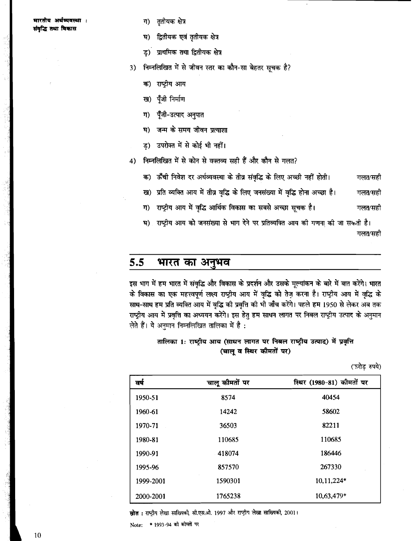### मारतीय अर्थव्यवस्था : संवृद्धि तथा विकास

- ततीयक क्षेत्र ग)
- ঘ) द्वितीयक एवं तृतीयक क्षेत्र
- ड) प्राथमिक तथा द्वितीयक क्षेत्र
- 3) निम्नलिखित में से जीवन स्तर का कौन-सा बेहतर सूचक है?
	- क) राष्ट्रीय आय
	- ख) पँजी निर्माण
	- पुँजी-उत्पाद अनुपात ग)
	- जन्म के समय जीवन प्रत्याशा घ)
	- ड) उपरोक्त में से कोई भी नहीं।
- 4) निम्नलिखित में से कोन से वक्तव्य सही हैं और कौन से गलत?
	- क) ऊँँची निवेश दर अर्थव्यवस्था के तीव्र संवृद्धि के लिए अच्छी नहीं होती। गलत⁄सही
	- ख) प्रति व्यक्ति आय में तीव्र वृद्धि के लिए जनसंख्या में वृद्धि होना अच्छा है। गलत⁄सही
	- राष्ट्रीय आय में वृद्धि आर्थिक विकास का सबसे अच्छा सूचक है। ग) गलत∕सही

घ) राष्ट्रीय आय को जनसंख्या से भाग देने पर प्रतिव्यक्ति आय की गणना की जा सकती है। गलत⁄सही

#### $5.5$ भारत का अनुभव

इस भाग में हम भारत में संवृद्धि और विकास के प्रदर्शन और उसके मूल्यांकन के बारे में बात करेंगे। भारत के विकास का एक महत्त्वपूर्ण लक्ष्य राष्ट्रीय आय में वृद्धि को तेज़ करना है। राष्ट्रीय आय में वृद्धि के साथ-साथ हम प्रति व्यक्ति आय में वृद्धि की प्रवृत्ति की भी जाँच करेंगे। पहले हम 1950 से लेकर अब तक राष्ट्रीय आय में प्रवृत्ति का अध्ययन करेंगे। इस हेतु हम साधन लागत पर निबल राष्ट्रीय उत्पाद के अनुमान लेते हैं। ये अनमान निम्नलिखित तालिका में है :

# तालिका 1: राष्ट्रीय आय (साधन लागत पर निबल राष्ट्रीय उत्पाद) में प्रवृत्ति (चालू व स्थिर कीमतों पर)

(इरोड़ रुपये)

| वर्ष      | चालू कीमतों पर | स्थिर (1980-81) कीमतों पर |
|-----------|----------------|---------------------------|
| 1950-51   | 8574           | 40454                     |
| 1960-61   | 14242          | 58602                     |
| 1970-71   | 36503          | 82211                     |
| 1980-81   | 110685         | 110685                    |
| 1990-91   | 418074         | 186446                    |
| 1995-96   | 857570         | 267330                    |
| 1999-2001 | 1590301        | 10,11,224*                |
| 2000-2001 | 1765238        | 10,63,479*                |

स्रोत : राष्ट्रीय लेखा साख्यिकी, सी.एस.ओ. 1997 और राष्ट्रीय लेखा साख्यिकी, 2001।

Note: \* 1993-94 को कोमतों पर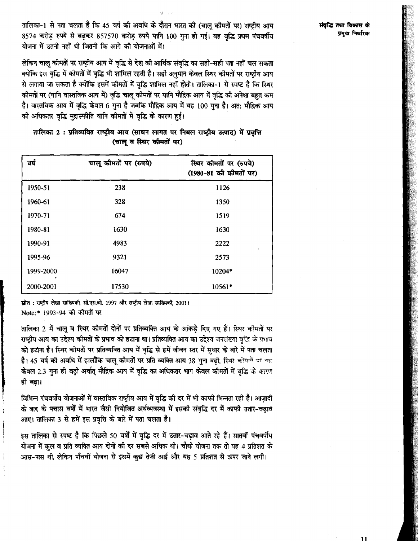तालिका-1 से पता चलता है कि 45 वर्ष की अवधि के दौरान भारत की (चाल कीमतों पर) राष्टीय आय 8574 करोड़ रुपये से बढ़कर 857570 करोड़ रुपये यानि 100 गुना हो गई। यह वृद्धि प्रथम पंचवर्षीय योजना में उतनी नहीं थी जितनी कि आगे की योजनाओं में।

लेकिन चाल कीमतों पर राष्ट्रीय आय में वृद्धि से देश की आर्थिक संवृद्धि का सही-सही पता नहीं चल सकता क्योंकि इस वृद्धि में कीमतों में वृद्धि भी शामिल रहती है। सही अनुमान केवल स्थिर कीमतों पर राष्ट्रीय आय से लगाया जा सकता है क्योंकि इसमें कीमतों में वृद्धि शामिल नहीं होती। तालिका-1 से स्पष्ट है कि स्थिर कीमतों पर (यानि वास्तविक आय में) वृद्धि चालु कीमतों पर यानि मौद्रिक आय में वृद्धि की अपेक्षा बहुत कम है। वास्तविक आय में वृद्धि केवल 6 गुना है जबकि मौद्रिक आय में यह 100 गुना है। अत: मौद्रिक आय की अधिकतर वृद्धि मुद्रास्फीति यानि कीमतों में वृद्धि के कारण हुई।

| तष        | चालू कीमतों पर (रुपये) | स्थिर कीमतों पर (रुपये)<br>(1980-81 की कीमतों पर) |
|-----------|------------------------|---------------------------------------------------|
| 1950-51   | 238                    | 1126                                              |
| 1960-61   | 328                    | 1350                                              |
| 1970-71   | 674                    | 1519                                              |
| 1980-81   | 1630                   | 1630                                              |
| 1990-91   | 4983                   | 2222                                              |
| 1995-96   | 9321                   | 2573                                              |
| 1999-2000 | 16047                  | 10204*                                            |
| 2000-2001 | 17530                  | 10561*                                            |

# तालिका 2: प्रतिव्यक्ति राष्ट्रीय आय (साधन लागत पर निबल राष्ट्रीय उत्पाद) में प्रवृत्ति (चालु व स्थिर कीमतों पर)

स्रोत : राष्ट्रीय लेखा साख्यिकी, सी.एस.ओ. 1997 और राष्ट्रीय लेखा साख्यिकी, 2001। Note:\* 1993-94 की कीमतों पर

तालिका 2 में चालू व स्थिर कीमतों दोनों पर प्रतिव्यक्ति आय के आंकड़े दिए गए हैं। स्थिर कीमतों पर राष्ट्रीय आय का उद्देश्य कीमतों के प्रभाव को हटाना था। प्रतिव्यक्ति आय का उद्देश्य जनसंख्या वृद्धि के प्रभाव को हटाना है। स्थिर कोमतों पर प्रतिव्यक्ति आय में वृद्धि से हमें जीवन स्तर में सुधार के बारे में पता चलता है। 45 वर्ष की अवधि में हालाँकि चालु कीमतों पर प्रति व्यक्ति आय 38 गुना बढी, स्थिर कीमतों पर यह केवल 2.3 गुना ही बढ़ी अर्थात् मौद्रिक आय में वृद्धि का अधिकतर भाग केवल कीमतों में वृद्धि के कारण ही बढ़ा।

विभिन्न पंचवर्षीय योजनाओं में वास्तविक राष्ट्रीय आय में वृद्धि की दर में भी काफी भिन्नता रही है। आज़ादी के बाद के पचास वर्षों में भारत जैसी नियोजित अर्थव्यवस्था में इसकी संवृद्धि दर में काफी उतार-चढ़ाव आए। तालिका 3 से हमें इस प्रवृत्ति के बारे में पता चलता है।

इस तालिका से स्पष्ट है कि पिछले 50 वर्षों में वृद्धि दर में उतार-चढ़ाव आते रहे हैं। सातवीं पंचवर्षीय योजना में कुल व प्रति व्यक्ति आय दोनों की दर सबसे अधिक थी। चौथी योजना तक तो यह 4 प्रतिशत के आस-पास थी, लेकिन पाँचवीं योजना से इसमें कुछ तेजी आई और यह 5 प्रतिशत से ऊपर जाने लगी।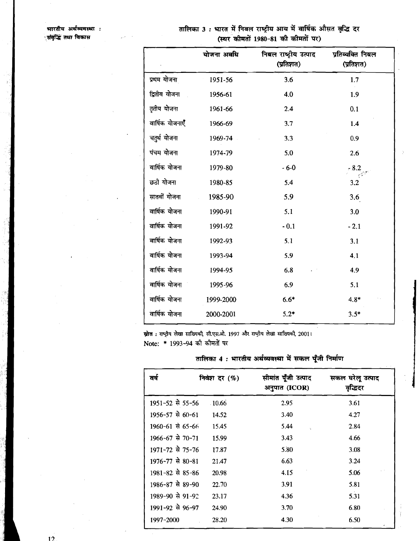|                                    | तालिका 3 : भारत में निवल राष्ट्रीय आय में वार्षिक औसत वृद्धि दर |  |
|------------------------------------|-----------------------------------------------------------------|--|
| (स्थर कीमतों 1980-81 की कीमतों पर) |                                                                 |  |

|                 | योजना अवधि | निबल राष्ट्रीय उत्पाद<br>(प्रतिशत) | प्रतिव्यक्ति निबल<br>(प्रतिशत) |
|-----------------|------------|------------------------------------|--------------------------------|
| प्रथम योजना     | 1951-56    | 3.6                                | 1.7                            |
| द्वितीय योजना   | 1956-61    | 4.0                                | 1.9                            |
| तृतीय योजना     | 1961-66    | 2.4                                | 0.1                            |
| वार्षिक योजनाएँ | 1966-69    | 3.7                                | 1.4                            |
| चतुर्थ योजना    | 1969-74    | 3.3                                | 0.9                            |
| पंचम योजना      | 1974-79    | 5.0                                | 2.6                            |
| वार्षिक योजना   | 1979-80    | $-6 - 0$                           | $-8.2$                         |
| छठी योजना       | 1980-85    | 5.4                                | 3.2                            |
| सातवीं योजना    | 1985-90    | 5.9                                | 3.6                            |
| वार्षिक योजना   | 1990-91    | 5.1                                | 3.0                            |
| वार्षिक योजना   | 1991-92    | $-0.1$                             | $-2.1$                         |
| वार्षिक योजना   | 1992-93    | 5.1                                | 3.1                            |
| वार्षिक योजना   | 1993-94    | 5.9                                | 4.1                            |
| वार्षिक योजना   | 1994-95    | 6.8                                | 4.9                            |
| वार्षिक योजना   | 1995-96    | 6.9                                | 5.1                            |
| वार्षिक योजना   | 1999-2000  | $6.6*$                             | $4.8*$                         |
| वार्षिक योजना   | 2000-2001  | $5.2*$                             | $3.5*$                         |

स्रोत : राष्ट्रीय लेखा साख्यिकी, सी.एस.ओ. 1997 और राष्ट्रीय लेखा साख्यिकी, 2001। Note: \* 1993-94 की कीमतों पर

# तालिका 4 : भारतीय अर्थव्यवस्था में सकल पूँजी निर्माण

| ਕਥੇ                  | निवेश दर (%) | सीमांत पूँजी उत्पाद<br>अनुपात (ICOR) | सकल घरेलू उत्पाद<br>वृद्धिदर |
|----------------------|--------------|--------------------------------------|------------------------------|
| 1951-52 से 55-56     | $-10.66$     | 2.95                                 | 3.61                         |
| $1956 - 57$ से 60-61 | 14.52        | 3.40                                 | 4.27                         |
| 1960-61 से 65-66     | 15.45        | 5.44                                 | 2.84                         |
| 1966-67 से 70-71     | 15.99        | 3.43                                 | 4.66                         |
| 1971-72 से 75-76     | 17.87        | 5.80                                 | 3.08                         |
| 1976-77 से 80-81     | 21.47        | 6.63                                 | 3.24                         |
| 1981-82 से 85-86     | 20.98        | 4.15                                 | 5.06                         |
| 1986-87 से 89-90     | 22.70        | 3.91                                 | 5.81                         |
| 1989-90 से 91-92     | 23.17        | 4.36                                 | 5.31                         |
| 1991-92 से 96-97     | 24.90        | 3.70                                 | 6.80                         |
| 1997-2000            | 28.20        | 4.30                                 | 6.50                         |

Ï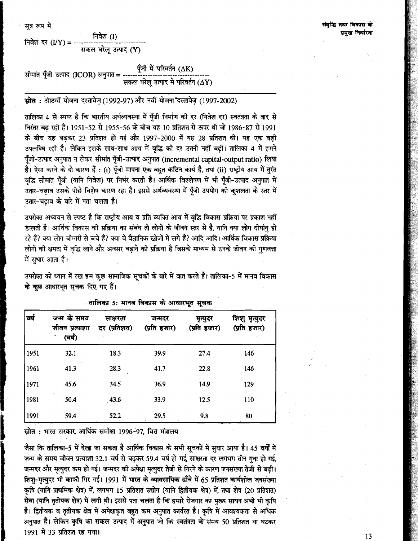सत्र रूप में

निवेश (I) निवेश दर  $(IV) =$ सकल घरेल उत्पाद (Y)

पूँजी में परिवर्तन (∆K) सीमांत पूँजी उत्पाद (ICOR) अनुपात = सकल घरेल उत्पाद में परिवर्तन ( $\Delta$ Y)

# स्रोत : ओठवीं योजना दस्तावेज़ (1992-97) और नवीं योजना दस्तावेज़ (1997-2002)

तालिका 4 से स्पष्ट है कि भारतीय अर्थव्यवस्था में पुँजी निर्माण की दर (निवेश दर) स्वतंत्रता के बाद से निरंतर बढ रही है। 1951-52 से 1955-56 के बीच यह 10 प्रतिशत से ऊपर थी जो 1986-87 से 1991 के बीच यह बढकर 23 प्रतिशत हो गई और 1997-2000 में यह 28 प्रतिशत थी। यह एक बड़ी उपलब्धि रही है। लेकिन इसके साथ-साथ आय में वृद्धि की दर उतनी नहीं बढ़ी। तालिका 4 में हमने पुँजी-उत्पाद अनुपात न लेकर सीमांत पुँजी-उत्पाद अनुपात (incremental capital-output ratio) लिया है। ऐसा करने के दो कारण हैं : (i) पूँजी मापना एक बहुत कठिन कार्य है, तथा (ii) राष्ट्रीय आय में तुरंत वद्धि सीमांत पँजी (यानि निवेश) पर निर्भर करती है। आर्थिक विश्लेषण में भी पुँजी-उत्पाद अनुपात में उतार-चढाव उसके पीछे विशेष कारण रहा है। इससे अर्थव्यवस्था में पँजी उपयोग की कशलता के स्तर में उतार-चढाव के बारे में पता चलता है।

उपरोक्त अध्ययन से स्पष्ट है कि राष्ट्रीय आय व प्रति व्यक्ति आय में वृद्धि विकास प्रक्रिया पर प्रकाश नहीं डालती है। आर्थिक विकास की प्रक्रिया का संबंध तो लोगों के जीवन स्तर से है. यानि क्या लोग दीर्घाय हो रहे हैं? क्या लोग बीमारी से बचे हैं? क्या वे वैज्ञानिक खोजों में लगे हैं? आदि आदि। आर्थिक विकास प्रक्रिया लोगों की क्षमता में वृद्धि लाने और अवसर बढाने की प्रक्रिया है जिसके माध्यम से उनके जीवन की गुणवत्ता में सुधार आता है।

उपरोक्त को ध्यान में रख हम कुछ सामाजिक सूचकों के बारे में बात करते हैं। तालिका-5 में मानव विकास के कुछ आधारभूत सूचक दिए गए हैं।

| वर्ष | जन्म के समय<br>जीवन प्रत्याशा<br>(वर्ष) | साक्षरता<br>दर (प्रतिशत) | जन्मदर<br>(प्रति हजार) | मृत्युदर<br>(प्रति हजार) | शिशु मृत्युदर<br>(प्रति हजार) |
|------|-----------------------------------------|--------------------------|------------------------|--------------------------|-------------------------------|
| 1951 | 32.1                                    | 18.3                     | 39.9                   | 27.4                     | 146                           |
| 1961 | 41.3                                    | 28.3                     | $-41.7$                | 22.8                     | 146                           |
| 1971 | 45.6                                    | 34.5                     | 36.9                   | 14.9                     | 129                           |
| 1981 | 50.4                                    | 43.6                     | 33.9                   | 12.5                     | 110                           |
| 1991 | 59.4                                    | 52.2                     | 29.5                   | 9.8                      | 80                            |

तालिका 5: मानव विकास के आधारभूत सूचक

स्रोत : भारत सरकार, आर्थिक समीक्षा 1996-97, वित्त मंत्रालय

जैसा कि तालिका-5 में देखा जा सकता है आर्थिक विकास के सभी सूचकों में सुधार आया है। 45 वर्षों में जन्म के समय जीवन प्रत्याशा 32.1 वर्ष से बढ़कर 59.4 वर्ष हो गई, साक्षरता दर लगभग तीन गना हो गई, जन्मदर और मृत्युदर कम हो गई। जन्मदर की अपेक्षा मृत्युदर तेजी से गिरने के कारण जनसंख्या तेजी से बढ़ी। शिशु-मृत्युदर भी काफी गिर गई। 1991 में भारत के व्यावसायिक ढाँचे में 65 प्रतिशत कार्यशील जनसंख्या कृषि (यानि प्राथमिक क्षेत्र) में, लगभग 15 प्रतिशत उद्योग (यानि द्वितीयक क्षेत्र) में, तथा शेष (20 प्रतिशत) सेवा (यानि तृतीयक क्षेत्र) में लगी थी। इससे पता चलता है कि हमारे रोजगार का मुख्य साधन अभी भी कृषि है। द्वितीयक व तृतीयक क्षेत्र में अपेक्षाकृत बहुत कम अनुपात कार्यरत है। कृषि में आवश्यकता से अधिक अनुपात है। लेकिन कृषि का सकल उत्पाद में अनुपात जो कि स्वतंत्रता के समय 50 प्रतिशत था घटकर 1991 में 33 प्रतिशत रह गया।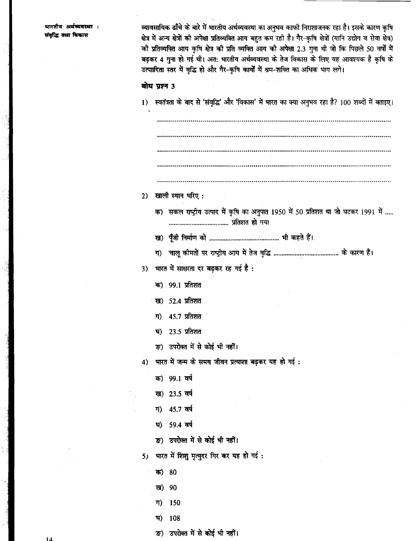भारतीय अर्थव्यवस्था : संवद्धि तथा विकास

व्यावसायिक ढाँचे के बारे में भारतीय अर्थव्यवस्था का अनुभव काफी निराशाजनक रहा है। इसके कारण कृषि क्षेत्र में अन्य क्षेत्रों की अपेक्षा प्रतिव्यक्ति आय बहुत कम रही है। गैर-कृषि क्षेत्रों (यानि उद्योग व सेवा क्षेत्र) की प्रतिव्यक्ति आय कृषि क्षेत्र को प्रति व्यक्ति आय की अपेक्षा 2.3 गुना थी जो कि पिछले 50 वर्षों में बढ़कर 4 गुना हो गई थी। अत: भारतीय अर्थव्यवस्था के तेज विकास के लिए यह आवश्यक है कृषि के उत्पादिता स्तर में वृद्धि हो और गैर-कृषि कार्यों में श्रम-शक्ति का अधिक भाग लगे।

### बोध पुण्न 3

- 1) स्वतंत्रता के बाद से 'संवृद्धि' और 'विकास' में भारत का क्या अनुभव रहा है? 100 शब्दों में बताइए। 2) खाली स्थान भरिए: क) सकल राष्ट्रीय उत्पाद में कृषि का अनुपात 1950 में 50 प्रतिशत था जो घटकर 1991 में ..... भारत में साक्षरता दर बढ़कर रह गई है :  $3)$ क) 99.1 प्रतिशत ख) 52.4 प्रतिशत 45.7 प्रतिशत ग) 23.5 प्रतिशत ঘ) ङ) उपरोक्त में से कोई भी नहीं। भारत में जन्म के समय जीवन प्रत्याशा बढ़कर यह हो गई:  $4)$ क) 99.1 वर्ष ख) 23.5 वर्ष ग) 45.7 वर्ष 59.4 वर्ष घ) ङ) उपरोक्त में से कोई भी नहीं। भारत में शिशु मृत्युदर गिर कर यह हो गई :  $5<sub>1</sub>$ क) 80 ख) -90 ग) 150
	- 108 ঘ)
	- ङ) उपरोक्त में से कोई भी नहीं।

 $14$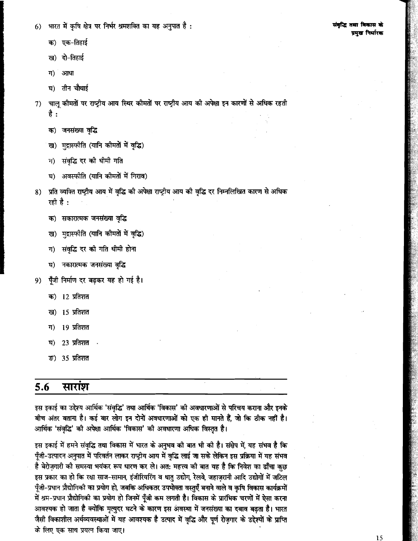भारत में कृषि क्षेत्र पर निर्भर श्रमशक्ति का यह अनुपात है :  $6)$ 

- क) एक-तिहाई
- ख) दो-तिहाई
- ग) आधा
- घ) तीन चौथाई
- चालु कीमतों पर राष्ट्रीय आय स्थिर कीमतों पर राष्ट्रीय आय की अपेक्षा इन कारणों से अधिक रहती  $7)$ है :
	- क) जनसंख्या वृद्धि
	- ख) मुद्रास्फीति (यानि कीमतों में वृद्धि)
	- ग) संवृद्धि दर को धीमी गति
	- घ) अवस्फीति (यानि कीमतों में गिराव)
- प्रति व्यक्ति राष्ट्रीय आय में वृद्धि की अपेक्षा राष्ट्रीय आय की वृद्धि दर निम्नलिखित कारण से अधिक 8) रही है :
	- क) सकारात्मक जनसंख्या वृद्धि
	- ख) मुद्रास्फीति (यानि कीमतों में वृद्धि)
	- संवृद्धि दर को गति धीमी होना ग)
	- नकारात्मक जनसंख्या वृद्धि घ)
- पूँजी निर्माण दर बढ़कर यह हो गई है। 9)
	- क) 12 प्रतिशत
	- 15 प्रतिशत ख)
	- 19 प्रतिशत ग)
	- $23 \overline{\smash{\mathrm{M}}}$ तिशत घ)
	- ক্ত) 35 प्रतिशत

#### 5.6 सारांश

इस इकाई का उद्देश्य आर्थिक 'संवृद्धि' तथा आर्थिक 'विकास' की अवधारणाओं से परिचय कराना और इनके बीच अंतर बताना है। कई बार लोग इन दोनों अवधारणाओं को एक ही मानते हैं, जो कि ठीक नहीं है। आर्थिक 'संवृद्धि' को अपेक्षा आर्थिक 'विकास' को अवधारणा अधिक विस्तृत है।

इस इकाई में हमने संवृद्धि तथा विकास में भारत के अनुभव की बात भी की है। संक्षेप में, यह संभव है कि पूँजी-उत्पादन अनुपात में परिवर्तन लाकर राष्ट्रीय आय में वृद्धि लाई जा सके लेकिन इस प्रक्रिया में यह संभव है बेरोज़गारी की समस्या भयंकर रूप धारण कर ले। अत: महत्त्व की बात यह है कि निवेश का ढाँचा कुछ इस प्रकार का हो कि रक्षा साज-सामान, इंजीरियरिंग व धातु उद्योग, रेलवे, जहाज़रानी आदि उद्योगों में जटिल पूँजी-प्रधान प्रौद्योगिको का प्रयोग हो, जबकि अधिकतर उपभोक्ता वस्तुएँ बनाने वाले व कृषि विकास कार्यक्रमों में श्रम-प्रधान प्रौद्योगिकी का प्रयोग हो जिनमें पूँजी कम लगती है। विकास के प्रारंभिक चरणों में ऐसा करना आवश्यक हो जाता है क्योंकि मृत्युदर घटने के कारण इस अवस्था में जनसंख्या का दबाव बढ़ता है। भारत जैसी विकाशील अर्थव्यवस्थाओं में यह आवश्यक है उत्पाद में वृद्धि और पूर्ण रोज़गार के उद्देश्यों के प्राप्ति के लिए एक साथ प्रयत्न किया जाए।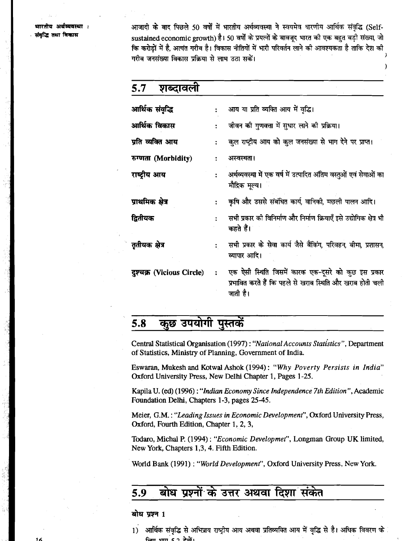भारतीय अर्थव्यवस्था : संबद्धि तथा विकास

आजादी के बाद पिछले 50 वर्षों में भारतीय अर्थव्यवस्था ने स्वयमेव धारणीय आर्थिक संवद्धि (Selfsustained economic growth) है। 50 वर्षों के प्रयत्नों के बावजुद भारत की एक बहुत बड़ी संख्या, जो कि करोडों में है. अत्यंत गरीब है। विकास नीतियों में भारी परिवर्तन लाने की आवश्यकता है ताकि देश की गरीब जनसंख्या विकास प्रक्रिया से लाभ उठा सकें।

 $)$ 

| 5.7<br>शब्दावला           |                      |                                                                                                                              |  |
|---------------------------|----------------------|------------------------------------------------------------------------------------------------------------------------------|--|
| आर्थिक संवृद्धि           |                      | आय या प्रति व्यक्ति आय में वृद्धि।                                                                                           |  |
| आर्थिक विकास              |                      | जीवन की गुणवत्ता में सुधार लाने की प्रक्रिया।                                                                                |  |
| प्रति व्यक्ति आय          |                      | कुल राष्ट्रीय आय को कुल जनसंख्या से भाग देने पर प्राप्त।                                                                     |  |
| रुग्णता (Morbidity)       |                      | अस्वस्थता।                                                                                                                   |  |
| राष्ट्रीय आय              |                      | अर्थव्यवस्था में एक वर्ष में उत्पादित अंतिम वस्तुओं एवं सेवाओं का<br>मौद्रिक मूल्य।                                          |  |
| प्राथमिक क्षेत्र          |                      | कृषि और उससे संबंधित कार्य, वानिकी, मछली पालन आदि।                                                                           |  |
| द्वितीयक                  |                      | सभी प्रकार की विनिर्माण और निर्माण क्रियाएँ इसे उद्योगिक क्षेत्र भी<br>कहते हैं।                                             |  |
| तृतीयक क्षेत्र            |                      | सभी प्रकार के सेवा कार्य जैसे बैंकिंग, परिवहन, बीमा, प्रशासन,<br>व्यापार आदि।                                                |  |
| दुश्चक्र (Vicious Circle) | $\ddot{\phantom{a}}$ | एक ऐसी स्थिति जिसमें कारक एक-दूसरे को कुछ इस प्रकार<br>प्रभावित करते हैं कि पहले से खराब स्थिति और खराब होती चली<br>जाती है। |  |

#### कुछ उपयोगी पुस्तकें  $5.8$

Central Statistical Organisation (1997) : "National Accounts Statistics", Department of Statistics, Ministry of Planning, Government of India.

Eswaran, Mukesh and Kotwal Ashok (1994) : "Why Poverty Persists in India" Oxford University Press, New Delhi Chapter 1, Pages 1-25.

Kapila U. **(ed)** (1996) : "Indian Economy Since Independence 7th Edition ", Academic Foundation Delhi, Chapters 1-3, pages 25-45.

Meier, G.M.: "Leading Issues in Economic Development", Oxford University Press, Oxford, Fourth Edition, Chapter 1, 2, 3,

Todaro, Michal P. (1994): "Economic Developmet", Longman Group UK limited, New York, Chapters 1,3, 4. Fifth Edition.

World Bank (1991) : "World Development", Oxford University Press, New York.

#### बोध प्रश्नों के उत्तर अथवा दिशा संकेत 5.9

बोध प्रश्न 1

1) आर्थिक संवृद्धि से अभिप्राय राष्ट्रीय आय अथवा प्रतिव्यक्ति आय में वृद्धि से है। अधिक विवरण के  $tan \sin \theta$   $2\pi$